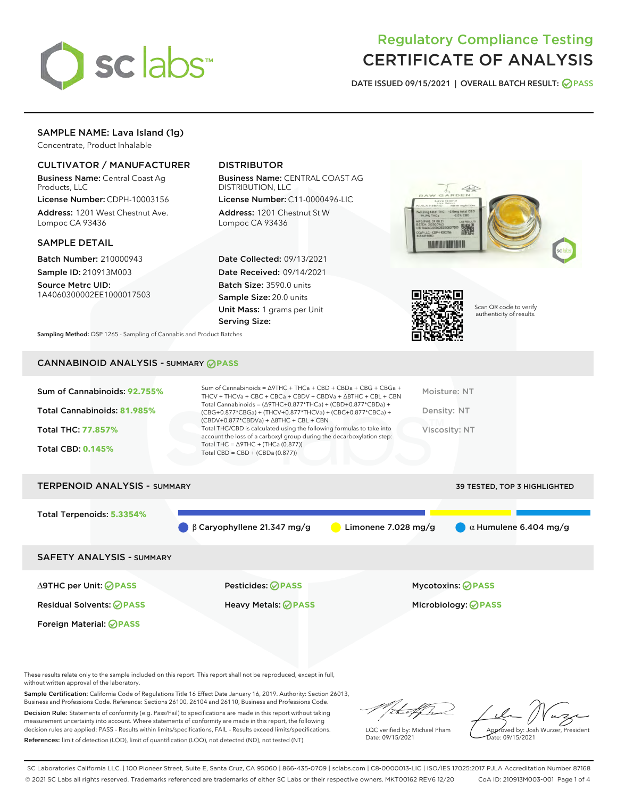

## Regulatory Compliance Testing CERTIFICATE OF ANALYSIS

DATE ISSUED 09/15/2021 | OVERALL BATCH RESULT: @ PASS

### SAMPLE NAME: Lava Island (1g)

Concentrate, Product Inhalable

#### CULTIVATOR / MANUFACTURER

Business Name: Central Coast Ag Products, LLC

License Number: CDPH-10003156 Address: 1201 West Chestnut Ave. Lompoc CA 93436

#### SAMPLE DETAIL

Batch Number: 210000943 Sample ID: 210913M003

Source Metrc UID: 1A4060300002EE1000017503

#### DISTRIBUTOR

Business Name: CENTRAL COAST AG DISTRIBUTION, LLC

License Number: C11-0000496-LIC Address: 1201 Chestnut St W Lompoc CA 93436

Date Collected: 09/13/2021 Date Received: 09/14/2021 Batch Size: 3590.0 units Sample Size: 20.0 units Unit Mass: 1 grams per Unit Serving Size:





Scan QR code to verify authenticity of results.

Sampling Method: QSP 1265 - Sampling of Cannabis and Product Batches

## CANNABINOID ANALYSIS - SUMMARY **PASS**

| Sum of Cannabinoids: 92.755% | Sum of Cannabinoids = $\triangle$ 9THC + THCa + CBD + CBDa + CBG + CBGa +<br>THCV + THCVa + CBC + CBCa + CBDV + CBDVa + $\Delta$ 8THC + CBL + CBN                                        | Moisture: NT  |
|------------------------------|------------------------------------------------------------------------------------------------------------------------------------------------------------------------------------------|---------------|
| Total Cannabinoids: 81.985%  | Total Cannabinoids = $(\Delta 9THC + 0.877*THCa) + (CBD + 0.877*CBDa) +$<br>(CBG+0.877*CBGa) + (THCV+0.877*THCVa) + (CBC+0.877*CBCa) +<br>$(CBDV+0.877*CBDVa) + \Delta 8THC + CBL + CBN$ | Density: NT   |
| <b>Total THC: 77.857%</b>    | Total THC/CBD is calculated using the following formulas to take into<br>account the loss of a carboxyl group during the decarboxylation step:                                           | Viscosity: NT |
| <b>Total CBD: 0.145%</b>     | Total THC = $\triangle$ 9THC + (THCa (0.877))<br>Total CBD = $CBD + (CBDa (0.877))$                                                                                                      |               |
|                              |                                                                                                                                                                                          |               |

# TERPENOID ANALYSIS - SUMMARY 39 TESTED, TOP 3 HIGHLIGHTED Total Terpenoids: **5.3354%** β Caryophyllene 21.347 mg/g **a** Limonene 7.028 mg/g **a**  $\alpha$  Humulene 6.404 mg/g SAFETY ANALYSIS - SUMMARY ∆9THC per Unit: **PASS** Pesticides: **PASS** Mycotoxins: **PASS**

Foreign Material: **PASS**

Residual Solvents: **PASS** Heavy Metals: **PASS** Microbiology: **PASS**

These results relate only to the sample included on this report. This report shall not be reproduced, except in full, without written approval of the laboratory.

Sample Certification: California Code of Regulations Title 16 Effect Date January 16, 2019. Authority: Section 26013, Business and Professions Code. Reference: Sections 26100, 26104 and 26110, Business and Professions Code.

Decision Rule: Statements of conformity (e.g. Pass/Fail) to specifications are made in this report without taking measurement uncertainty into account. Where statements of conformity are made in this report, the following decision rules are applied: PASS – Results within limits/specifications, FAIL – Results exceed limits/specifications. References: limit of detection (LOD), limit of quantification (LOQ), not detected (ND), not tested (NT)

that f Is

LQC verified by: Michael Pham Date: 09/15/2021

Approved by: Josh Wurzer, President ate: 09/15/2021

SC Laboratories California LLC. | 100 Pioneer Street, Suite E, Santa Cruz, CA 95060 | 866-435-0709 | sclabs.com | C8-0000013-LIC | ISO/IES 17025:2017 PJLA Accreditation Number 87168 © 2021 SC Labs all rights reserved. Trademarks referenced are trademarks of either SC Labs or their respective owners. MKT00162 REV6 12/20 CoA ID: 210913M003-001 Page 1 of 4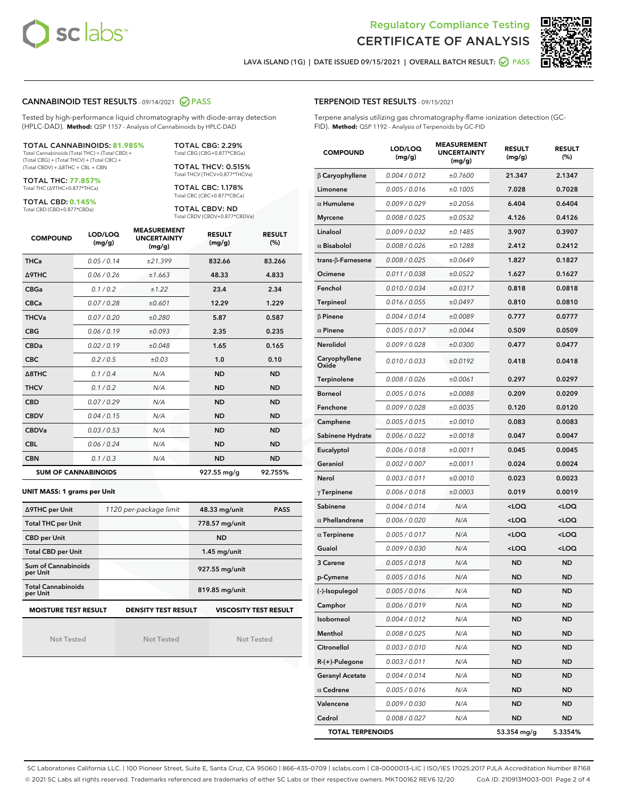



LAVA ISLAND (1G) | DATE ISSUED 09/15/2021 | OVERALL BATCH RESULT: O PASS

#### CANNABINOID TEST RESULTS - 09/14/2021 2 PASS

Tested by high-performance liquid chromatography with diode-array detection (HPLC-DAD). **Method:** QSP 1157 - Analysis of Cannabinoids by HPLC-DAD

#### TOTAL CANNABINOIDS: **81.985%**

Total Cannabinoids (Total THC) + (Total CBD) + (Total CBG) + (Total THCV) + (Total CBC) + (Total CBDV) + ∆8THC + CBL + CBN

TOTAL THC: **77.857%** Total THC (∆9THC+0.877\*THCa)

TOTAL CBD: **0.145%**

Total CBD (CBD+0.877\*CBDa)

TOTAL CBG: 2.29% Total CBG (CBG+0.877\*CBGa)

TOTAL THCV: 0.515% Total THCV (THCV+0.877\*THCVa)

TOTAL CBC: 1.178% Total CBC (CBC+0.877\*CBCa)

TOTAL CBDV: ND Total CBDV (CBDV+0.877\*CBDVa)

| <b>COMPOUND</b>  | LOD/LOQ<br>(mg/g)          | <b>MEASUREMENT</b><br><b>UNCERTAINTY</b><br>(mg/g) | <b>RESULT</b><br>(mg/g) | <b>RESULT</b><br>(%) |
|------------------|----------------------------|----------------------------------------------------|-------------------------|----------------------|
| <b>THCa</b>      | 0.05 / 0.14                | ±21.399                                            | 832.66                  | 83.266               |
| <b>A9THC</b>     | 0.06 / 0.26                | ±1.663                                             | 48.33                   | 4.833                |
| <b>CBGa</b>      | 0.1 / 0.2                  | ±1.22                                              | 23.4                    | 2.34                 |
| <b>CBCa</b>      | 0.07/0.28                  | ±0.601                                             | 12.29                   | 1.229                |
| <b>THCVa</b>     | 0.07/0.20                  | ±0.280                                             | 5.87                    | 0.587                |
| <b>CBG</b>       | 0.06/0.19                  | ±0.093                                             | 2.35                    | 0.235                |
| <b>CBDa</b>      | 0.02 / 0.19                | ±0.048                                             | 1.65                    | 0.165                |
| <b>CBC</b>       | 0.2/0.5                    | ±0.03                                              | 1.0                     | 0.10                 |
| $\triangle$ 8THC | 0.1 / 0.4                  | N/A                                                | <b>ND</b>               | <b>ND</b>            |
| <b>THCV</b>      | 0.1/0.2                    | N/A                                                | <b>ND</b>               | <b>ND</b>            |
| <b>CBD</b>       | 0.07/0.29                  | N/A                                                | <b>ND</b>               | <b>ND</b>            |
| <b>CBDV</b>      | 0.04/0.15                  | N/A                                                | <b>ND</b>               | <b>ND</b>            |
| <b>CBDVa</b>     | 0.03/0.53                  | N/A                                                | <b>ND</b>               | <b>ND</b>            |
| <b>CBL</b>       | 0.06 / 0.24                | N/A                                                | <b>ND</b>               | <b>ND</b>            |
| <b>CBN</b>       | 0.1/0.3                    | N/A                                                | <b>ND</b>               | <b>ND</b>            |
|                  | <b>SUM OF CANNABINOIDS</b> |                                                    | 927.55 mg/g             | 92.755%              |

#### **UNIT MASS: 1 grams per Unit**

| ∆9THC per Unit                        | 1120 per-package limit     | 48.33 mg/unit<br><b>PASS</b> |  |  |
|---------------------------------------|----------------------------|------------------------------|--|--|
| <b>Total THC per Unit</b>             |                            | 778.57 mg/unit               |  |  |
| <b>CBD per Unit</b>                   |                            | <b>ND</b>                    |  |  |
| <b>Total CBD per Unit</b>             |                            | $1.45$ mg/unit               |  |  |
| Sum of Cannabinoids<br>per Unit       |                            | 927.55 mg/unit               |  |  |
| <b>Total Cannabinoids</b><br>per Unit |                            | 819.85 mg/unit               |  |  |
| <b>MOISTURE TEST RESULT</b>           | <b>DENSITY TEST RESULT</b> | <b>VISCOSITY TEST RESULT</b> |  |  |

Not Tested

Not Tested

Not Tested

#### TERPENOID TEST RESULTS - 09/15/2021

Terpene analysis utilizing gas chromatography-flame ionization detection (GC-FID). **Method:** QSP 1192 - Analysis of Terpenoids by GC-FID

| <b>COMPOUND</b>           | LOD/LOQ<br>(mg/g) | <b>MEASUREMENT</b><br><b>UNCERTAINTY</b><br>(mg/g) | <b>RESULT</b><br>(mg/g)                         | <b>RESULT</b><br>$(\%)$ |
|---------------------------|-------------------|----------------------------------------------------|-------------------------------------------------|-------------------------|
| $\beta$ Caryophyllene     | 0.004 / 0.012     | ±0.7600                                            | 21.347                                          | 2.1347                  |
| Limonene                  | 0.005 / 0.016     | ±0.1005                                            | 7.028                                           | 0.7028                  |
| $\alpha$ Humulene         | 0.009/0.029       | ±0.2056                                            | 6.404                                           | 0.6404                  |
| <b>Myrcene</b>            | 0.008 / 0.025     | ±0.0532                                            | 4.126                                           | 0.4126                  |
| Linalool                  | 0.009 / 0.032     | ±0.1485                                            | 3.907                                           | 0.3907                  |
| $\alpha$ Bisabolol        | 0.008 / 0.026     | ±0.1288                                            | 2.412                                           | 0.2412                  |
| trans- $\beta$ -Farnesene | 0.008 / 0.025     | ±0.0649                                            | 1.827                                           | 0.1827                  |
| Ocimene                   | 0.011 / 0.038     | ±0.0522                                            | 1.627                                           | 0.1627                  |
| Fenchol                   | 0.010 / 0.034     | ±0.0317                                            | 0.818                                           | 0.0818                  |
| Terpineol                 | 0.016 / 0.055     | ±0.0497                                            | 0.810                                           | 0.0810                  |
| $\beta$ Pinene            | 0.004 / 0.014     | ±0.0089                                            | 0.777                                           | 0.0777                  |
| $\alpha$ Pinene           | 0.005 / 0.017     | ±0.0044                                            | 0.509                                           | 0.0509                  |
| Nerolidol                 | 0.009 / 0.028     | ±0.0300                                            | 0.477                                           | 0.0477                  |
| Caryophyllene<br>Oxide    | 0.010 / 0.033     | ±0.0192                                            | 0.418                                           | 0.0418                  |
| Terpinolene               | 0.008 / 0.026     | ±0.0061                                            | 0.297                                           | 0.0297                  |
| <b>Borneol</b>            | 0.005 / 0.016     | ±0.0088                                            | 0.209                                           | 0.0209                  |
| Fenchone                  | 0.009 / 0.028     | ±0.0035                                            | 0.120                                           | 0.0120                  |
| Camphene                  | 0.005 / 0.015     | ±0.0010                                            | 0.083                                           | 0.0083                  |
| Sabinene Hydrate          | 0.006 / 0.022     | ±0.0018                                            | 0.047                                           | 0.0047                  |
| Eucalyptol                | 0.006 / 0.018     | ±0.0011                                            | 0.045                                           | 0.0045                  |
| Geraniol                  | 0.002 / 0.007     | ±0.0011                                            | 0.024                                           | 0.0024                  |
| Nerol                     | 0.003 / 0.011     | ±0.0010                                            | 0.023                                           | 0.0023                  |
| $\gamma$ Terpinene        | 0.006 / 0.018     | ±0.0003                                            | 0.019                                           | 0.0019                  |
| Sabinene                  | 0.004 / 0.014     | N/A                                                | <loq< th=""><th><loq< th=""></loq<></th></loq<> | <loq< th=""></loq<>     |
| $\alpha$ Phellandrene     | 0.006 / 0.020     | N/A                                                | <loq< th=""><th><loq< th=""></loq<></th></loq<> | <loq< th=""></loq<>     |
| $\alpha$ Terpinene        | 0.005 / 0.017     | N/A                                                | <loq< th=""><th><loq< th=""></loq<></th></loq<> | <loq< th=""></loq<>     |
| Guaiol                    | 0.009 / 0.030     | N/A                                                | <loq< th=""><th><loq< th=""></loq<></th></loq<> | <loq< th=""></loq<>     |
| 3 Carene                  | 0.005 / 0.018     | N/A                                                | <b>ND</b>                                       | <b>ND</b>               |
| p-Cymene                  | 0.005 / 0.016     | N/A                                                | ND                                              | <b>ND</b>               |
| (-)-Isopulegol            | 0.005 / 0.016     | N/A                                                | <b>ND</b>                                       | <b>ND</b>               |
| Camphor                   | 0.006 / 0.019     | N/A                                                | ND                                              | <b>ND</b>               |
| Isoborneol                | 0.004 / 0.012     | N/A                                                | ND                                              | ND                      |
| Menthol                   | 0.008 / 0.025     | N/A                                                | ND                                              | <b>ND</b>               |
| Citronellol               | 0.003 / 0.010     | N/A                                                | ND                                              | <b>ND</b>               |
| R-(+)-Pulegone            | 0.003 / 0.011     | N/A                                                | ND                                              | ND                      |
| <b>Geranyl Acetate</b>    | 0.004 / 0.014     | N/A                                                | ND                                              | ND                      |
| $\alpha$ Cedrene          | 0.005 / 0.016     | N/A                                                | ND                                              | <b>ND</b>               |
| Valencene                 | 0.009 / 0.030     | N/A                                                | ND                                              | ND                      |
| Cedrol                    | 0.008 / 0.027     | N/A                                                | ND                                              | <b>ND</b>               |
| <b>TOTAL TERPENOIDS</b>   |                   |                                                    | 53.354 mg/g                                     | 5.3354%                 |

SC Laboratories California LLC. | 100 Pioneer Street, Suite E, Santa Cruz, CA 95060 | 866-435-0709 | sclabs.com | C8-0000013-LIC | ISO/IES 17025:2017 PJLA Accreditation Number 87168 © 2021 SC Labs all rights reserved. Trademarks referenced are trademarks of either SC Labs or their respective owners. MKT00162 REV6 12/20 CoA ID: 210913M003-001 Page 2 of 4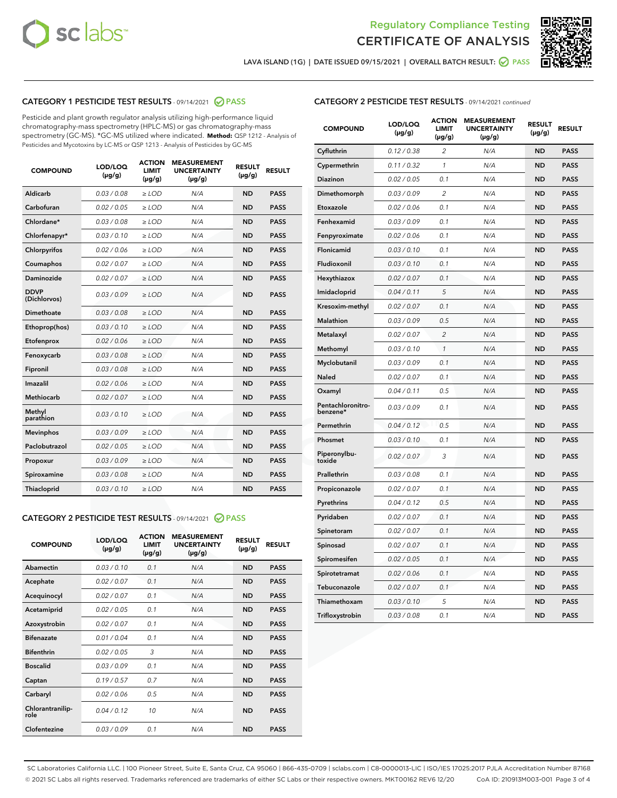



LAVA ISLAND (1G) | DATE ISSUED 09/15/2021 | OVERALL BATCH RESULT: 2 PASS

#### CATEGORY 1 PESTICIDE TEST RESULTS - 09/14/2021 2 PASS

Pesticide and plant growth regulator analysis utilizing high-performance liquid chromatography-mass spectrometry (HPLC-MS) or gas chromatography-mass spectrometry (GC-MS). \*GC-MS utilized where indicated. **Method:** QSP 1212 - Analysis of Pesticides and Mycotoxins by LC-MS or QSP 1213 - Analysis of Pesticides by GC-MS

| <b>COMPOUND</b>             | LOD/LOQ<br>$(\mu g/g)$ | <b>ACTION</b><br><b>LIMIT</b><br>$(\mu g/g)$ | <b>MEASUREMENT</b><br><b>UNCERTAINTY</b><br>$(\mu g/g)$ | <b>RESULT</b><br>$(\mu g/g)$ | <b>RESULT</b> |
|-----------------------------|------------------------|----------------------------------------------|---------------------------------------------------------|------------------------------|---------------|
| Aldicarb                    | 0.03 / 0.08            | $\ge$ LOD                                    | N/A                                                     | <b>ND</b>                    | <b>PASS</b>   |
| Carbofuran                  | 0.02/0.05              | $\geq$ LOD                                   | N/A                                                     | <b>ND</b>                    | <b>PASS</b>   |
| Chlordane*                  | 0.03 / 0.08            | $>$ LOD                                      | N/A                                                     | <b>ND</b>                    | <b>PASS</b>   |
| Chlorfenapyr*               | 0.03/0.10              | $>$ LOD                                      | N/A                                                     | <b>ND</b>                    | <b>PASS</b>   |
| Chlorpyrifos                | 0.02 / 0.06            | $\geq$ LOD                                   | N/A                                                     | <b>ND</b>                    | <b>PASS</b>   |
| Coumaphos                   | 0.02 / 0.07            | $\ge$ LOD                                    | N/A                                                     | <b>ND</b>                    | <b>PASS</b>   |
| Daminozide                  | 0.02 / 0.07            | $\ge$ LOD                                    | N/A                                                     | <b>ND</b>                    | <b>PASS</b>   |
| <b>DDVP</b><br>(Dichlorvos) | 0.03/0.09              | $\ge$ LOD                                    | N/A                                                     | <b>ND</b>                    | <b>PASS</b>   |
| Dimethoate                  | 0.03/0.08              | $\ge$ LOD                                    | N/A                                                     | <b>ND</b>                    | <b>PASS</b>   |
| Ethoprop(hos)               | 0.03/0.10              | $>$ LOD                                      | N/A                                                     | <b>ND</b>                    | <b>PASS</b>   |
| Etofenprox                  | 0.02 / 0.06            | $\ge$ LOD                                    | N/A                                                     | <b>ND</b>                    | <b>PASS</b>   |
| Fenoxycarb                  | 0.03/0.08              | $\ge$ LOD                                    | N/A                                                     | <b>ND</b>                    | <b>PASS</b>   |
| Fipronil                    | 0.03/0.08              | $\ge$ LOD                                    | N/A                                                     | <b>ND</b>                    | <b>PASS</b>   |
| Imazalil                    | 0.02 / 0.06            | $>$ LOD                                      | N/A                                                     | <b>ND</b>                    | <b>PASS</b>   |
| Methiocarb                  | 0.02 / 0.07            | $\ge$ LOD                                    | N/A                                                     | <b>ND</b>                    | <b>PASS</b>   |
| Methyl<br>parathion         | 0.03/0.10              | $\ge$ LOD                                    | N/A                                                     | <b>ND</b>                    | <b>PASS</b>   |
| <b>Mevinphos</b>            | 0.03/0.09              | $\ge$ LOD                                    | N/A                                                     | <b>ND</b>                    | <b>PASS</b>   |
| Paclobutrazol               | 0.02 / 0.05            | $\ge$ LOD                                    | N/A                                                     | <b>ND</b>                    | <b>PASS</b>   |
| Propoxur                    | 0.03/0.09              | $\ge$ LOD                                    | N/A                                                     | <b>ND</b>                    | <b>PASS</b>   |
| Spiroxamine                 | 0.03/0.08              | $\ge$ LOD                                    | N/A                                                     | <b>ND</b>                    | <b>PASS</b>   |
| Thiacloprid                 | 0.03/0.10              | $\ge$ LOD                                    | N/A                                                     | <b>ND</b>                    | <b>PASS</b>   |

#### CATEGORY 2 PESTICIDE TEST RESULTS - 09/14/2021 @ PASS

| <b>COMPOUND</b>          | LOD/LOO<br>$(\mu g/g)$ | <b>ACTION</b><br>LIMIT<br>$(\mu g/g)$ | <b>MEASUREMENT</b><br><b>UNCERTAINTY</b><br>$(\mu g/g)$ | <b>RESULT</b><br>$(\mu g/g)$ | <b>RESULT</b> |  |
|--------------------------|------------------------|---------------------------------------|---------------------------------------------------------|------------------------------|---------------|--|
| Abamectin                | 0.03/0.10              | 0.1                                   | N/A                                                     | <b>ND</b>                    | <b>PASS</b>   |  |
| Acephate                 | 0.02/0.07              | 0.1                                   | N/A                                                     | <b>ND</b>                    | <b>PASS</b>   |  |
| Acequinocyl              | 0.02/0.07              | 0.1                                   | N/A                                                     | <b>ND</b>                    | <b>PASS</b>   |  |
| Acetamiprid              | 0.02 / 0.05            | 0.1                                   | N/A                                                     | <b>ND</b>                    | <b>PASS</b>   |  |
| Azoxystrobin             | 0.02/0.07              | 0.1                                   | N/A                                                     | <b>ND</b>                    | <b>PASS</b>   |  |
| <b>Bifenazate</b>        | 0.01 / 0.04            | 0.1                                   | N/A                                                     | <b>ND</b>                    | <b>PASS</b>   |  |
| <b>Bifenthrin</b>        | 0.02 / 0.05            | 3                                     | N/A                                                     | <b>ND</b>                    | <b>PASS</b>   |  |
| <b>Boscalid</b>          | 0.03/0.09              | 0.1                                   | N/A                                                     | <b>ND</b>                    | <b>PASS</b>   |  |
| Captan                   | 0.19/0.57              | 0.7                                   | N/A                                                     | <b>ND</b>                    | <b>PASS</b>   |  |
| Carbaryl                 | 0.02/0.06              | 0.5                                   | N/A                                                     | <b>ND</b>                    | <b>PASS</b>   |  |
| Chlorantranilip-<br>role | 0.04/0.12              | 10                                    | N/A                                                     | <b>ND</b>                    | <b>PASS</b>   |  |
| Clofentezine             | 0.03/0.09              | 0.1                                   | N/A                                                     | <b>ND</b>                    | <b>PASS</b>   |  |

| <b>CATEGORY 2 PESTICIDE TEST RESULTS</b> - 09/14/2021 continued |
|-----------------------------------------------------------------|
|-----------------------------------------------------------------|

| <b>COMPOUND</b>               | LOD/LOQ<br>(µg/g) | <b>ACTION</b><br><b>LIMIT</b><br>(µg/g) | <b>MEASUREMENT</b><br><b>UNCERTAINTY</b><br>$(\mu g/g)$ | <b>RESULT</b><br>(µg/g) | <b>RESULT</b> |
|-------------------------------|-------------------|-----------------------------------------|---------------------------------------------------------|-------------------------|---------------|
| Cyfluthrin                    | 0.12 / 0.38       | $\overline{c}$                          | N/A                                                     | <b>ND</b>               | <b>PASS</b>   |
| Cypermethrin                  | 0.11 / 0.32       | $\mathcal{I}$                           | N/A                                                     | <b>ND</b>               | <b>PASS</b>   |
| <b>Diazinon</b>               | 0.02 / 0.05       | 0.1                                     | N/A                                                     | <b>ND</b>               | <b>PASS</b>   |
| Dimethomorph                  | 0.03 / 0.09       | 2                                       | N/A                                                     | <b>ND</b>               | <b>PASS</b>   |
| Etoxazole                     | 0.02 / 0.06       | 0.1                                     | N/A                                                     | <b>ND</b>               | <b>PASS</b>   |
| Fenhexamid                    | 0.03 / 0.09       | 0.1                                     | N/A                                                     | <b>ND</b>               | <b>PASS</b>   |
| Fenpyroximate                 | 0.02 / 0.06       | 0.1                                     | N/A                                                     | <b>ND</b>               | <b>PASS</b>   |
| Flonicamid                    | 0.03 / 0.10       | 0.1                                     | N/A                                                     | <b>ND</b>               | <b>PASS</b>   |
| Fludioxonil                   | 0.03/0.10         | 0.1                                     | N/A                                                     | <b>ND</b>               | <b>PASS</b>   |
| Hexythiazox                   | 0.02 / 0.07       | 0.1                                     | N/A                                                     | <b>ND</b>               | <b>PASS</b>   |
| Imidacloprid                  | 0.04 / 0.11       | 5                                       | N/A                                                     | <b>ND</b>               | <b>PASS</b>   |
| Kresoxim-methyl               | 0.02 / 0.07       | 0.1                                     | N/A                                                     | <b>ND</b>               | <b>PASS</b>   |
| <b>Malathion</b>              | 0.03 / 0.09       | 0.5                                     | N/A                                                     | <b>ND</b>               | <b>PASS</b>   |
| Metalaxyl                     | 0.02 / 0.07       | $\overline{c}$                          | N/A                                                     | <b>ND</b>               | <b>PASS</b>   |
| Methomyl                      | 0.03 / 0.10       | 1                                       | N/A                                                     | <b>ND</b>               | <b>PASS</b>   |
| Myclobutanil                  | 0.03 / 0.09       | 0.1                                     | N/A                                                     | <b>ND</b>               | <b>PASS</b>   |
| Naled                         | 0.02 / 0.07       | 0.1                                     | N/A                                                     | <b>ND</b>               | <b>PASS</b>   |
| Oxamyl                        | 0.04 / 0.11       | 0.5                                     | N/A                                                     | <b>ND</b>               | <b>PASS</b>   |
| Pentachloronitro-<br>benzene* | 0.03 / 0.09       | 0.1                                     | N/A                                                     | <b>ND</b>               | <b>PASS</b>   |
| Permethrin                    | 0.04 / 0.12       | 0.5                                     | N/A                                                     | <b>ND</b>               | <b>PASS</b>   |
| Phosmet                       | 0.03 / 0.10       | 0.1                                     | N/A                                                     | <b>ND</b>               | <b>PASS</b>   |
| Piperonylbu-<br>toxide        | 0.02 / 0.07       | 3                                       | N/A                                                     | <b>ND</b>               | <b>PASS</b>   |
| Prallethrin                   | 0.03 / 0.08       | 0.1                                     | N/A                                                     | <b>ND</b>               | <b>PASS</b>   |
| Propiconazole                 | 0.02 / 0.07       | 0.1                                     | N/A                                                     | <b>ND</b>               | <b>PASS</b>   |
| Pyrethrins                    | 0.04 / 0.12       | 0.5                                     | N/A                                                     | <b>ND</b>               | <b>PASS</b>   |
| Pyridaben                     | 0.02 / 0.07       | 0.1                                     | N/A                                                     | <b>ND</b>               | <b>PASS</b>   |
| Spinetoram                    | 0.02 / 0.07       | 0.1                                     | N/A                                                     | <b>ND</b>               | <b>PASS</b>   |
| Spinosad                      | 0.02 / 0.07       | 0.1                                     | N/A                                                     | <b>ND</b>               | <b>PASS</b>   |
| Spiromesifen                  | 0.02 / 0.05       | 0.1                                     | N/A                                                     | <b>ND</b>               | <b>PASS</b>   |
| Spirotetramat                 | 0.02 / 0.06       | 0.1                                     | N/A                                                     | <b>ND</b>               | <b>PASS</b>   |
| Tebuconazole                  | 0.02 / 0.07       | 0.1                                     | N/A                                                     | <b>ND</b>               | <b>PASS</b>   |
| Thiamethoxam                  | 0.03 / 0.10       | 5                                       | N/A                                                     | <b>ND</b>               | <b>PASS</b>   |
| Trifloxystrobin               | 0.03 / 0.08       | 0.1                                     | N/A                                                     | <b>ND</b>               | <b>PASS</b>   |

SC Laboratories California LLC. | 100 Pioneer Street, Suite E, Santa Cruz, CA 95060 | 866-435-0709 | sclabs.com | C8-0000013-LIC | ISO/IES 17025:2017 PJLA Accreditation Number 87168 © 2021 SC Labs all rights reserved. Trademarks referenced are trademarks of either SC Labs or their respective owners. MKT00162 REV6 12/20 CoA ID: 210913M003-001 Page 3 of 4